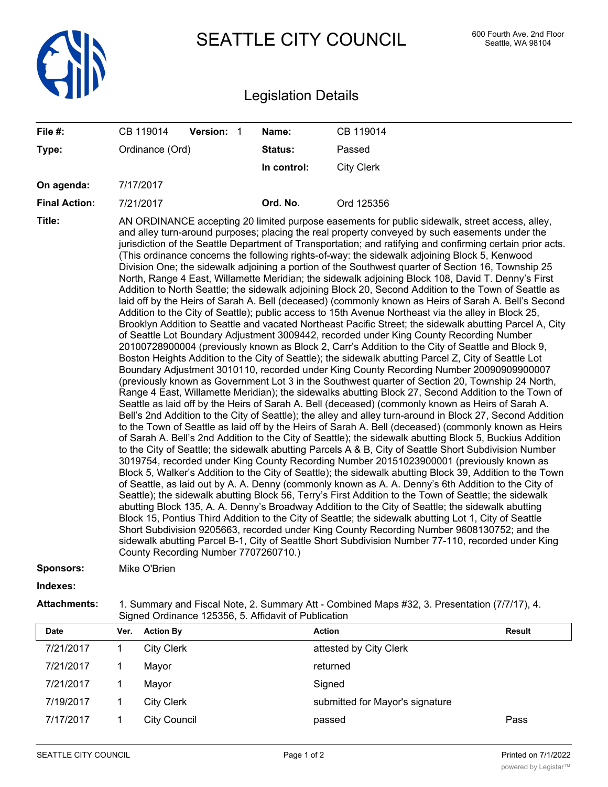

SEATTLE CITY COUNCIL 600 Fourth Ave. 2nd Floor

## Legislation Details

| File #:              | CB 119014       | Version: 1 |  | Name:                                | CB 119014                                                                                                                                                                                                                                                                                                                                                                                                                                                                                                                                                                                                                                                                                                                                                                                                                                                                                                                                                                                                                                                                                                                                                                                                                                                                                                                                                                                                                                                                                                                                                                                                                                                                                                                                                                                                                                                                                                                                                                                                                                                                                                                                                                                                                                                                                                                                                                                                                                                                                                                                                                                                                                                                                                                                                                                                                                                                                                                                                                                                                                                            |
|----------------------|-----------------|------------|--|--------------------------------------|----------------------------------------------------------------------------------------------------------------------------------------------------------------------------------------------------------------------------------------------------------------------------------------------------------------------------------------------------------------------------------------------------------------------------------------------------------------------------------------------------------------------------------------------------------------------------------------------------------------------------------------------------------------------------------------------------------------------------------------------------------------------------------------------------------------------------------------------------------------------------------------------------------------------------------------------------------------------------------------------------------------------------------------------------------------------------------------------------------------------------------------------------------------------------------------------------------------------------------------------------------------------------------------------------------------------------------------------------------------------------------------------------------------------------------------------------------------------------------------------------------------------------------------------------------------------------------------------------------------------------------------------------------------------------------------------------------------------------------------------------------------------------------------------------------------------------------------------------------------------------------------------------------------------------------------------------------------------------------------------------------------------------------------------------------------------------------------------------------------------------------------------------------------------------------------------------------------------------------------------------------------------------------------------------------------------------------------------------------------------------------------------------------------------------------------------------------------------------------------------------------------------------------------------------------------------------------------------------------------------------------------------------------------------------------------------------------------------------------------------------------------------------------------------------------------------------------------------------------------------------------------------------------------------------------------------------------------------------------------------------------------------------------------------------------------------|
| Type:                | Ordinance (Ord) |            |  | <b>Status:</b>                       | Passed                                                                                                                                                                                                                                                                                                                                                                                                                                                                                                                                                                                                                                                                                                                                                                                                                                                                                                                                                                                                                                                                                                                                                                                                                                                                                                                                                                                                                                                                                                                                                                                                                                                                                                                                                                                                                                                                                                                                                                                                                                                                                                                                                                                                                                                                                                                                                                                                                                                                                                                                                                                                                                                                                                                                                                                                                                                                                                                                                                                                                                                               |
|                      |                 |            |  | In control:                          | <b>City Clerk</b>                                                                                                                                                                                                                                                                                                                                                                                                                                                                                                                                                                                                                                                                                                                                                                                                                                                                                                                                                                                                                                                                                                                                                                                                                                                                                                                                                                                                                                                                                                                                                                                                                                                                                                                                                                                                                                                                                                                                                                                                                                                                                                                                                                                                                                                                                                                                                                                                                                                                                                                                                                                                                                                                                                                                                                                                                                                                                                                                                                                                                                                    |
| On agenda:           | 7/17/2017       |            |  |                                      |                                                                                                                                                                                                                                                                                                                                                                                                                                                                                                                                                                                                                                                                                                                                                                                                                                                                                                                                                                                                                                                                                                                                                                                                                                                                                                                                                                                                                                                                                                                                                                                                                                                                                                                                                                                                                                                                                                                                                                                                                                                                                                                                                                                                                                                                                                                                                                                                                                                                                                                                                                                                                                                                                                                                                                                                                                                                                                                                                                                                                                                                      |
| <b>Final Action:</b> | 7/21/2017       |            |  | Ord. No.                             | Ord 125356                                                                                                                                                                                                                                                                                                                                                                                                                                                                                                                                                                                                                                                                                                                                                                                                                                                                                                                                                                                                                                                                                                                                                                                                                                                                                                                                                                                                                                                                                                                                                                                                                                                                                                                                                                                                                                                                                                                                                                                                                                                                                                                                                                                                                                                                                                                                                                                                                                                                                                                                                                                                                                                                                                                                                                                                                                                                                                                                                                                                                                                           |
| Title:               |                 |            |  | County Recording Number 7707260710.) | AN ORDINANCE accepting 20 limited purpose easements for public sidewalk, street access, alley,<br>and alley turn-around purposes; placing the real property conveyed by such easements under the<br>jurisdiction of the Seattle Department of Transportation; and ratifying and confirming certain prior acts.<br>(This ordinance concerns the following rights-of-way: the sidewalk adjoining Block 5, Kenwood<br>Division One; the sidewalk adjoining a portion of the Southwest quarter of Section 16, Township 25<br>North, Range 4 East, Willamette Meridian; the sidewalk adjoining Block 108, David T. Denny's First<br>Addition to North Seattle; the sidewalk adjoining Block 20, Second Addition to the Town of Seattle as<br>laid off by the Heirs of Sarah A. Bell (deceased) (commonly known as Heirs of Sarah A. Bell's Second<br>Addition to the City of Seattle); public access to 15th Avenue Northeast via the alley in Block 25,<br>Brooklyn Addition to Seattle and vacated Northeast Pacific Street; the sidewalk abutting Parcel A, City<br>of Seattle Lot Boundary Adjustment 3009442, recorded under King County Recording Number<br>20100728900004 (previously known as Block 2, Carr's Addition to the City of Seattle and Block 9,<br>Boston Heights Addition to the City of Seattle); the sidewalk abutting Parcel Z, City of Seattle Lot<br>Boundary Adjustment 3010110, recorded under King County Recording Number 20090909900007<br>(previously known as Government Lot 3 in the Southwest quarter of Section 20, Township 24 North,<br>Range 4 East, Willamette Meridian); the sidewalks abutting Block 27, Second Addition to the Town of<br>Seattle as laid off by the Heirs of Sarah A. Bell (deceased) (commonly known as Heirs of Sarah A.<br>Bell's 2nd Addition to the City of Seattle); the alley and alley turn-around in Block 27, Second Addition<br>to the Town of Seattle as laid off by the Heirs of Sarah A. Bell (deceased) (commonly known as Heirs<br>of Sarah A. Bell's 2nd Addition to the City of Seattle); the sidewalk abutting Block 5, Buckius Addition<br>to the City of Seattle; the sidewalk abutting Parcels A & B, City of Seattle Short Subdivision Number<br>3019754, recorded under King County Recording Number 20151023900001 (previously known as<br>Block 5, Walker's Addition to the City of Seattle); the sidewalk abutting Block 39, Addition to the Town<br>of Seattle, as laid out by A. A. Denny (commonly known as A. A. Denny's 6th Addition to the City of<br>Seattle); the sidewalk abutting Block 56, Terry's First Addition to the Town of Seattle; the sidewalk<br>abutting Block 135, A. A. Denny's Broadway Addition to the City of Seattle; the sidewalk abutting<br>Block 15, Pontius Third Addition to the City of Seattle; the sidewalk abutting Lot 1, City of Seattle<br>Short Subdivision 9205663, recorded under King County Recording Number 9608130752; and the<br>sidewalk abutting Parcel B-1, City of Seattle Short Subdivision Number 77-110, recorded under King |
| <b>Sponsors:</b>     | Mike O'Brien    |            |  |                                      |                                                                                                                                                                                                                                                                                                                                                                                                                                                                                                                                                                                                                                                                                                                                                                                                                                                                                                                                                                                                                                                                                                                                                                                                                                                                                                                                                                                                                                                                                                                                                                                                                                                                                                                                                                                                                                                                                                                                                                                                                                                                                                                                                                                                                                                                                                                                                                                                                                                                                                                                                                                                                                                                                                                                                                                                                                                                                                                                                                                                                                                                      |
| Indexes:             |                 |            |  |                                      |                                                                                                                                                                                                                                                                                                                                                                                                                                                                                                                                                                                                                                                                                                                                                                                                                                                                                                                                                                                                                                                                                                                                                                                                                                                                                                                                                                                                                                                                                                                                                                                                                                                                                                                                                                                                                                                                                                                                                                                                                                                                                                                                                                                                                                                                                                                                                                                                                                                                                                                                                                                                                                                                                                                                                                                                                                                                                                                                                                                                                                                                      |
| <b>Attachments:</b>  |                 |            |  |                                      | 1. Summary and Fiscal Note, 2. Summary Att - Combined Maps #32, 3. Presentation (7/7/17), 4.                                                                                                                                                                                                                                                                                                                                                                                                                                                                                                                                                                                                                                                                                                                                                                                                                                                                                                                                                                                                                                                                                                                                                                                                                                                                                                                                                                                                                                                                                                                                                                                                                                                                                                                                                                                                                                                                                                                                                                                                                                                                                                                                                                                                                                                                                                                                                                                                                                                                                                                                                                                                                                                                                                                                                                                                                                                                                                                                                                         |

| ,,,,,, | <b>1. Odifficially direct room rioto, 2. Odifficially 7 the Computed Mapo</b> |
|--------|-------------------------------------------------------------------------------|
|        | Signed Ordinance 125356, 5. Affidavit of Publication                          |

| <b>Date</b> | Ver. | <b>Action By</b>    | <b>Action</b>                   | <b>Result</b> |
|-------------|------|---------------------|---------------------------------|---------------|
| 7/21/2017   |      | <b>City Clerk</b>   | attested by City Clerk          |               |
| 7/21/2017   |      | Mayor               | returned                        |               |
| 7/21/2017   |      | Mayor               | Signed                          |               |
| 7/19/2017   |      | <b>City Clerk</b>   | submitted for Mayor's signature |               |
| 7/17/2017   |      | <b>City Council</b> | passed                          | Pass          |